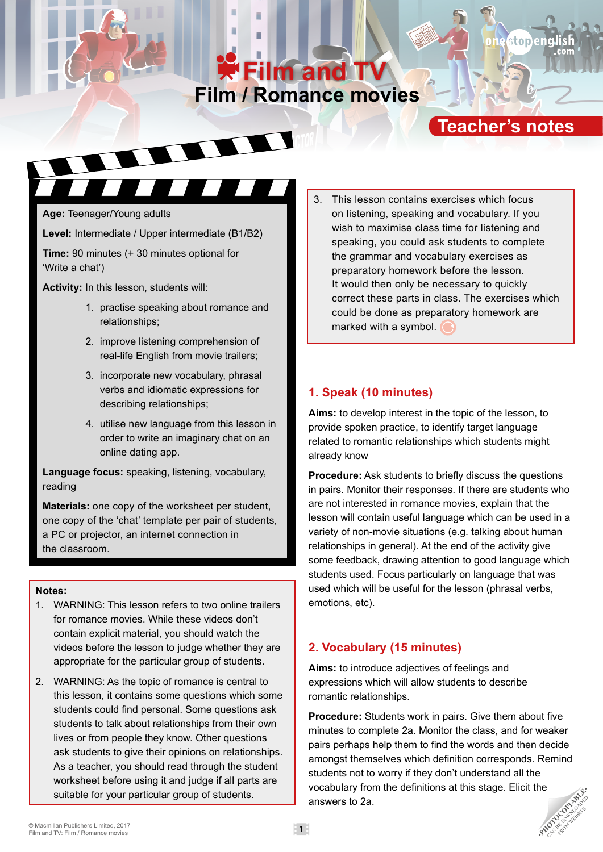# **Film / Romance movies Film and TV**

# **Teacher's notes**

topen

**Age:** Teenager/Young adults

**Level:** Intermediate / Upper intermediate (B1/B2)

**Time:** 90 minutes (+ 30 minutes optional for 'Write a chat')

**Activity:** In this lesson, students will:

- 1. practise speaking about romance and relationships;
- 2. improve listening comprehension of real-life English from movie trailers;
- 3. incorporate new vocabulary, phrasal verbs and idiomatic expressions for describing relationships;
- 4. utilise new language from this lesson in order to write an imaginary chat on an online dating app.

**Language focus:** speaking, listening, vocabulary, reading

**Materials:** one copy of the worksheet per student, one copy of the 'chat' template per pair of students, a PC or projector, an internet connection in the classroom.

#### **Notes:**

- 1. WARNING: This lesson refers to two online trailers for romance movies. While these videos don't contain explicit material, you should watch the videos before the lesson to judge whether they are appropriate for the particular group of students.
- 2. WARNING: As the topic of romance is central to this lesson, it contains some questions which some students could find personal. Some questions ask students to talk about relationships from their own lives or from people they know. Other questions ask students to give their opinions on relationships. As a teacher, you should read through the student worksheet before using it and judge if all parts are suitable for your particular group of students.

3. This lesson contains exercises which focus on listening, speaking and vocabulary. If you wish to maximise class time for listening and speaking, you could ask students to complete the grammar and vocabulary exercises as preparatory homework before the lesson. It would then only be necessary to quickly correct these parts in class. The exercises which could be done as preparatory homework are marked with a symbol.  $\bigcirc$ 

### **1. Speak (10 minutes)**

**Aims:** to develop interest in the topic of the lesson, to provide spoken practice, to identify target language related to romantic relationships which students might already know

**Procedure:** Ask students to briefly discuss the questions in pairs. Monitor their responses. If there are students who are not interested in romance movies, explain that the lesson will contain useful language which can be used in a variety of non-movie situations (e.g. talking about human relationships in general). At the end of the activity give some feedback, drawing attention to good language which students used. Focus particularly on language that was used which will be useful for the lesson (phrasal verbs, emotions, etc).

## **2. Vocabulary (15 minutes)**

**Aims:** to introduce adjectives of feelings and expressions which will allow students to describe romantic relationships.

**Procedure:** Students work in pairs. Give them about five minutes to complete 2a. Monitor the class, and for weaker pairs perhaps help them to find the words and then decide amongst themselves which definition corresponds. Remind students not to worry if they don't understand all the vocabulary from the definitions at this stage. Elicit the answers to 2a. Film and TV: Film / Romance movies<br>
Film and TV: Film / Romance movies<br>
Film and TV: Film / Romance movies<br> **1** •**PHOTOCOPIABLE PUBLISHERE**<br>
Film and TV: Film / Romance movies FROM WEBSITE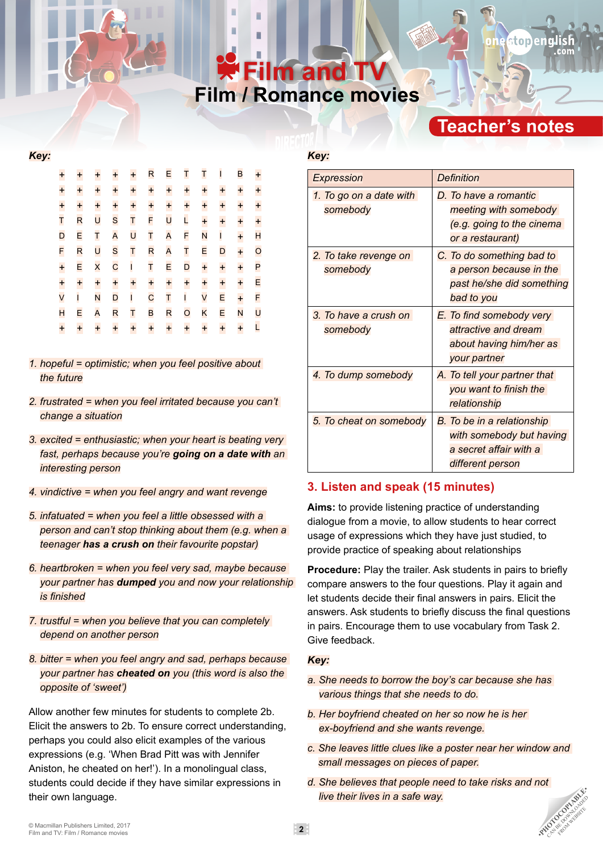# **Film / Romance movies Film and T**

# **Teacher's notes**

#### *Key:*

| $\ddot{}$          | $\ddot{}$    | $\ddot{}$ | $\ddot{}$    | $\ddot{}$    | R            | E         | T            | T         | $\mathbf{I}$ | B         | $\ddagger$     |
|--------------------|--------------|-----------|--------------|--------------|--------------|-----------|--------------|-----------|--------------|-----------|----------------|
| $\ddot{}$          | $\ddot{}$    | $\ddot{}$ | $\ddot{}$    | $\ddot{}$    | $\ddot{}$    | $\ddot{}$ | $\ddagger$   | $\ddot{}$ | $\ddot{}$    | $\ddot{}$ | $\ddot{}$      |
| $+$<br>T           | $\ddot{}$    | $\ddot{}$ | $\ddot{}$    | $\ddot{}$    | $\ddot{}$    | $\ddot{}$ | $\ddot{}$    | $\ddot{}$ | $\ddot{}$    | $\ddot{}$ | $\ddot{}$      |
|                    | R            | U         | S            | T            | F            | U         | L            | $\ddot{}$ | $\ddot{}$    | $\ddot{}$ | $\ddot{}$      |
| D                  | E            | T         | A            | U            | T            | A         | F            | N         | $\mathbf{I}$ | $\ddot{}$ | $\mathsf{H}$   |
| F                  | R            | U         | S            | T            | R            | A         | T            | E         | D            | $\ddot{}$ | $\overline{O}$ |
| $\ddagger$         | E            | $\times$  | $\mathsf{C}$ | $\mathbf{I}$ | T            | E         | D            | $\ddot{}$ | $\ddot{}$    | $\ddot{}$ | P              |
| $rac{+}{\sqrt{2}}$ | $\ddot{}$    | $\ddot{}$ | $\ddot{}$    | $\ddot{}$    | $\ddot{}$    | $\ddot{}$ | $\ddot{}$    | $\ddot{}$ | $\ddot{}$    | $\ddot{}$ | E              |
|                    | $\mathbf{I}$ | N         | D            | $\mathbf{I}$ | $\mathsf{C}$ | T         | $\mathbf{I}$ | V         | E            | $\ddot{}$ | F              |
| H                  | E            | A         | R            | T            | B            | R         | $\circ$      | K         | E            | N         | U              |
| $\ddot{}$          | $\ddot{}$    | $\ddot{}$ | $\ddot{}$    | $\ddot{}$    | $\ddot{}$    | $\ddot{}$ | $\ddot{}$    | $\ddot{}$ | $\ddot{}$    | $\ddot{}$ | L              |
|                    |              |           |              |              |              |           |              |           |              |           |                |

- *1. hopeful = optimistic; when you feel positive about the future*
- *2. frustrated = when you feel irritated because you can't change a situation*
- *3. excited = enthusiastic; when your heart is beating very fast, perhaps because you're going on a date with an interesting person*
- *4. vindictive = when you feel angry and want revenge*
- *5. infatuated = when you feel a little obsessed with a person and can't stop thinking about them (e.g. when a teenager has a crush on their favourite popstar)*
- *6. heartbroken = when you feel very sad, maybe because your partner has dumped you and now your relationship is finished*
- *7. trustful = when you believe that you can completely depend on another person*
- *8. bitter = when you feel angry and sad, perhaps because your partner has cheated on you (this word is also the opposite of 'sweet')*

Allow another few minutes for students to complete 2b. Elicit the answers to 2b. To ensure correct understanding, perhaps you could also elicit examples of the various expressions (e.g. 'When Brad Pitt was with Jennifer Aniston, he cheated on her!'). In a monolingual class, students could decide if they have similar expressions in their own language.

## *Key:*

| <b>Expression</b>                   | Definition                                                                                           |  |  |  |  |
|-------------------------------------|------------------------------------------------------------------------------------------------------|--|--|--|--|
| 1. To go on a date with<br>somebody | D. To have a romantic<br>meeting with somebody<br>(e.g. going to the cinema<br>or a restaurant)      |  |  |  |  |
| 2. To take revenge on<br>somebody   | C. To do something bad to<br>a person because in the<br>past he/she did something<br>bad to you      |  |  |  |  |
| 3. To have a crush on<br>somebody   | E. To find somebody very<br>attractive and dream<br>about having him/her as<br>your partner          |  |  |  |  |
| 4. To dump somebody                 | A. To tell your partner that<br>you want to finish the<br>relationship                               |  |  |  |  |
| 5. To cheat on somebody             | B. To be in a relationship<br>with somebody but having<br>a secret affair with a<br>different person |  |  |  |  |

## **3. Listen and speak (15 minutes)**

**Aims:** to provide listening practice of understanding dialogue from a movie, to allow students to hear correct usage of expressions which they have just studied, to provide practice of speaking about relationships

**Procedure:** Play the trailer. Ask students in pairs to briefly compare answers to the four questions. Play it again and let students decide their final answers in pairs. Elicit the answers. Ask students to briefly discuss the final questions in pairs. Encourage them to use vocabulary from Task 2. Give feedback.

#### *Key:*

- *a. She needs to borrow the boy's car because she has various things that she needs to do.*
- *b. Her boyfriend cheated on her so now he is her ex-boyfriend and she wants revenge.*
- *c. She leaves little clues like a poster near her window and small messages on pieces of paper.*

FROM WEBSITE

*d. She believes that people need to take risks and not live their lives in a safe way.* Film and TV: Film / Romance movies **2017**<br>
■ Macmillan Publishers Limited, 2017<br> **2** •**PHOTOCOPIAER CAN BE DOWNLOADED ASSESS** 

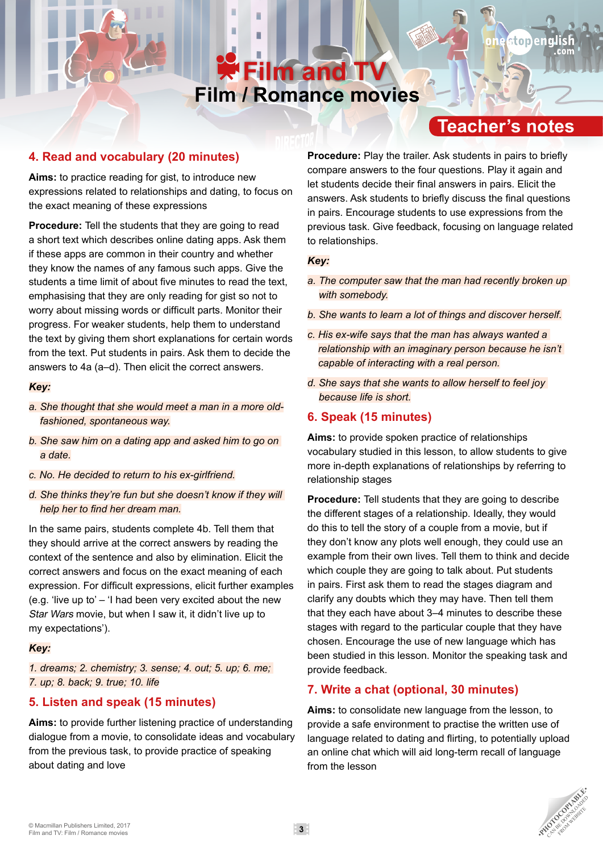# **Film / Romance movies Film and TV**

# **Teacher's notes**

stopeng

## **4. Read and vocabulary (20 minutes)**

**Aims:** to practice reading for gist, to introduce new expressions related to relationships and dating, to focus on the exact meaning of these expressions

**Procedure:** Tell the students that they are going to read a short text which describes online dating apps. Ask them if these apps are common in their country and whether they know the names of any famous such apps. Give the students a time limit of about five minutes to read the text, emphasising that they are only reading for gist so not to worry about missing words or difficult parts. Monitor their progress. For weaker students, help them to understand the text by giving them short explanations for certain words from the text. Put students in pairs. Ask them to decide the answers to 4a (a–d). Then elicit the correct answers.

#### *Key:*

- *a. She thought that she would meet a man in a more oldfashioned, spontaneous way.*
- *b. She saw him on a dating app and asked him to go on a date.*
- *c. No. He decided to return to his ex-girlfriend.*
- *d. She thinks they're fun but she doesn't know if they will help her to find her dream man.*

In the same pairs, students complete 4b. Tell them that they should arrive at the correct answers by reading the context of the sentence and also by elimination. Elicit the correct answers and focus on the exact meaning of each expression. For difficult expressions, elicit further examples (e.g. 'live up to'  $-$  'I had been very excited about the new Star Wars movie, but when I saw it, it didn't live up to my expectations').

### *Key:*

*1. dreams; 2. chemistry; 3. sense; 4. out; 5. up; 6. me; 7. up; 8. back; 9. true; 10. life*

## **5. Listen and speak (15 minutes)**

**Aims:** to provide further listening practice of understanding dialogue from a movie, to consolidate ideas and vocabulary from the previous task, to provide practice of speaking about dating and love

**Procedure:** Play the trailer. Ask students in pairs to briefly compare answers to the four questions. Play it again and let students decide their final answers in pairs. Elicit the answers. Ask students to briefly discuss the final questions in pairs. Encourage students to use expressions from the previous task. Give feedback, focusing on language related to relationships.

#### *Key:*

- *a. The computer saw that the man had recently broken up with somebody.*
- *b. She wants to learn a lot of things and discover herself.*
- *c. His ex-wife says that the man has always wanted a relationship with an imaginary person because he isn't capable of interacting with a real person.*
- *d. She says that she wants to allow herself to feel joy because life is short.*

## **6. Speak (15 minutes)**

**Aims:** to provide spoken practice of relationships vocabulary studied in this lesson, to allow students to give more in-depth explanations of relationships by referring to relationship stages

**Procedure:** Tell students that they are going to describe the different stages of a relationship. Ideally, they would do this to tell the story of a couple from a movie, but if they don't know any plots well enough, they could use an example from their own lives. Tell them to think and decide which couple they are going to talk about. Put students in pairs. First ask them to read the stages diagram and clarify any doubts which they may have. Then tell them that they each have about 3–4 minutes to describe these stages with regard to the particular couple that they have chosen. Encourage the use of new language which has been studied in this lesson. Monitor the speaking task and provide feedback.

## **7. Write a chat (optional, 30 minutes)**

**Aims:** to consolidate new language from the lesson, to provide a safe environment to practise the written use of language related to dating and flirting, to potentially upload an online chat which will aid long-term recall of language from the lesson